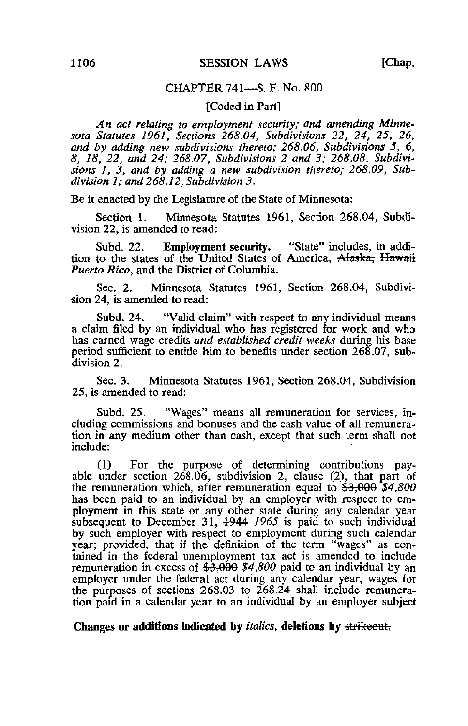# CHAPTER 741—S. F. No. 800

### [Coded in Part]

An act relating to employment security; and amending Minnesota Statutes 1961, Sections 268.04, Subdivisions 22, 24, 25, 26, and by adding new subdivisions thereto; 268.06, Subdivisions 5, 6, 8, 18, 22, and 24; 268.07, Subdivisions 2 and 3; 268.08, Subdivisions 1, 3, and by adding a new subdivision thereto; 268.09, Subdivision 1; and 268.12, Subdivision 3.

Be it enacted by the Legislature of the State of Minnesota:

Section 1. Minnesota Statutes 1961, Section 268.04, Subdivision 22, is amended to read:

Subd. 22. Employment security. "State" includes, in addition to the states of the United States of America, Alaska, Hawaii Puerto Rico, and the District of Columbia.

Sec. 2. Minnesota Statutes 1961, Section 268.04, Subdivision 24, is amended to read:

Subd. 24. "Valid claim" with respect to any individual means a claim filed by an individual who has registered for work and who has earned wage credits and established credit weeks during his base period sufficient to entitle him to benefits under section 268.07, subdivision 2.

Sec. 3. Minnesota Statutes 1961, Section 268.04, Subdivision 25, is amended to read:

Subd. 25. "Wages" means all remuneration for services, including commissions and bonuses and the cash value of all remuneration in any medium other than cash, except that such term shall not include:

(1) For the purpose of determining contributions payable under section 268.06, subdivision 2, clause (2), that part of the remuneration which, after remuneration equal to  $$3,000$   $$4,800$ has been paid to an individual by an employer with respect to employment in this state or any other state during any calendar year subsequent to December 31,  $\frac{1944}{1965}$  is paid to such individual by such employer with respect to employment during such calendar year; provided, that if the definition of the term "wages" as contained in the federal unemployment tax act is amended to include remuneration in excess of  $\frac{25,000}{4,800}$  paid to an individual by an employer under the federal act during any calendar year, wages for the purposes of sections 268.03 to 268.24 shall include remuneration paid in a calendar year to an individual by an employer subject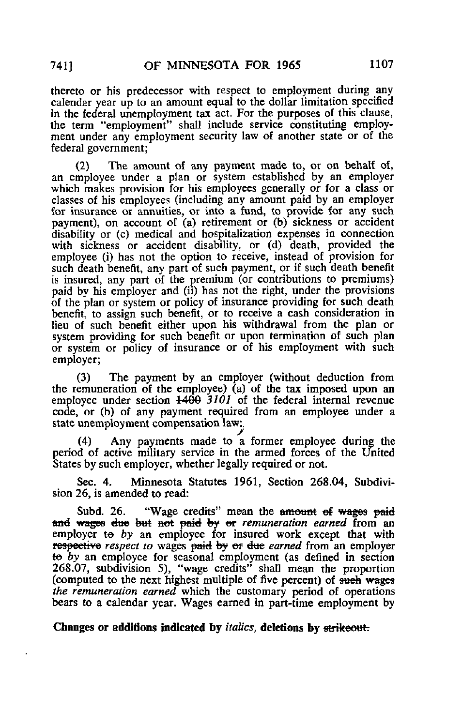thereto or his predecessor with respect to employment during any calendar year up to an amount equal to the dollar limitation specified in the federal unemployment tax act. For the purposes of this clause, the term "employment" shall include service constituting employment under any employment security law of another state or of the federal government;

(2) The amount of any payment made to, or on behalf of, an employee under a plan or system established by an employer which makes provision for his employees generally or for a class or classes of his employees (including any amount paid by an employer for insurance or annuities, or into a fund, to provide for any such payment), on account of (a) retirement or (b) sickness or accident disability or (c) medical and hospitalization expenses in connection with sickness or accident disability, or (d) death, provided the employee (i) has not the option to receive, instead of provision for such death benefit, any part of such payment, or if such death benefit is insured, any part of the premium (or contributions to premiums) paid by his employer and (ii) has not the right, under the provisions of the plan or system or policy of insurance providing for such death benefit, to assign such benefit, or to receive a cash consideration in lieu of such benefit either upon his withdrawal from the plan or system providing for such benefit or upon termination of such plan or system or policy of insurance or of his employment with such employer;

(3) The payment by an employer (without deduction from the remuneration of the employee) (a) of the tax imposed upon an employee under section  $\frac{1400}{3101}$  of the federal internal revenue code, or (b) of any payment required from an employee under a state unemployment compensation law;,

(4) Any payments made to a former employee during the period of active military service in the armed forces of the United States by such employer, whether legally required or not.

Sec. 4. Minnesota Statutes 1961, Section 268.04, Subdivision 26, is amended to read:

Subd. 26. "Wage credits" mean the amount of wages paid and wages due but not paid by or remuneration earned from an employer to by an employee for insured work except that with respective respect to wages paid by or due earned from an employer to by an employee for seasonal employment (as defined in section 268.07, subdivision 5), "wage credits" shall mean the proportion (computed to the next highest multiple of five percent) of such wages the remuneration earned which the customary period of operations bears to a calendar year. Wages earned in part-time employment by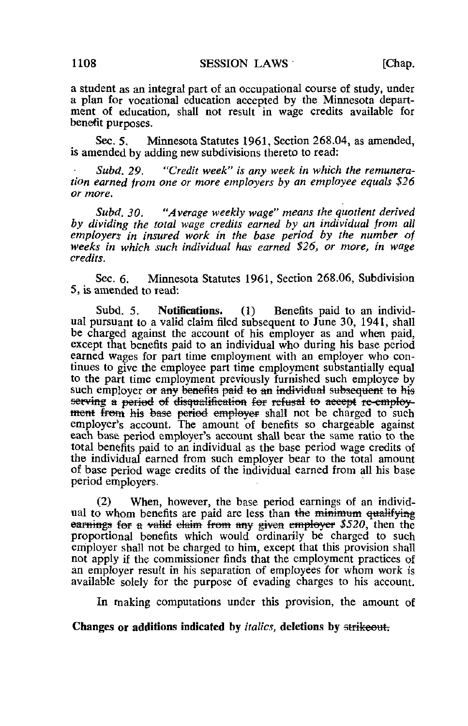a student as an integral part of an occupational course of study, under a plan for vocational education accepted by the Minnesota department of education, shall not result in wage credits available for benefit purposes.

Sec. 5. Minnesota Statutes 1961, Section 268.04, as amended, is amended by adding new subdivisions thereto to read:

Subd. 29. "Credit week" is any week in which the remuneration earned from one or more employers by an employee equals \$26 or more.

Subd. 30. "Average weekly wage" means the quotient derived by dividing the total wage credits earned by an individual from all employers in insured work in the base period by the number of weeks in which such individual has earned \$26, or more, in wage credits.

Sec. 6. Minnesota Statutes 1961, Section 268.06, Subdivision 5, is amended to read:

Subd. 5. Notifications. (1) Benefits paid to an individual pursuant to a valid claim filed subsequent to June 30, 1941, shall be charged against the account of his employer as and when paid, except that benefits paid to an individual who during his base period earned wages for part time employment with an employer who continues to give the employee part time employment substantially equal to the part time employment previously furnished such employee by such employer or any benefits paid to an individual subsequent to his serving a period of disqualification for refusal to accept re-employment from his base period employer shall not be charged to such employer's account. The amount of benefits so chargeable against each base period employer's account shall bear the same ratio to the total benefits paid to an individual as the base period wage credits of the individual earned from such employer bear to the total amount of base period wage credits of the individual earned from all his base period employers.

(2) When, however, the base period earnings of an individual to whom benefits are paid are less than the minimum qualifying earnings for a valid claim from any given employer  $$520$ , then the proportional benefits which would ordinarily be charged to such employer shall not be charged to him, except that this provision shall not apply if the commissioner finds that the employment practices of an employer result in his separation of employees for whom work is available solely for the purpose of evading charges to his account.

In making computations under this provision, the amount of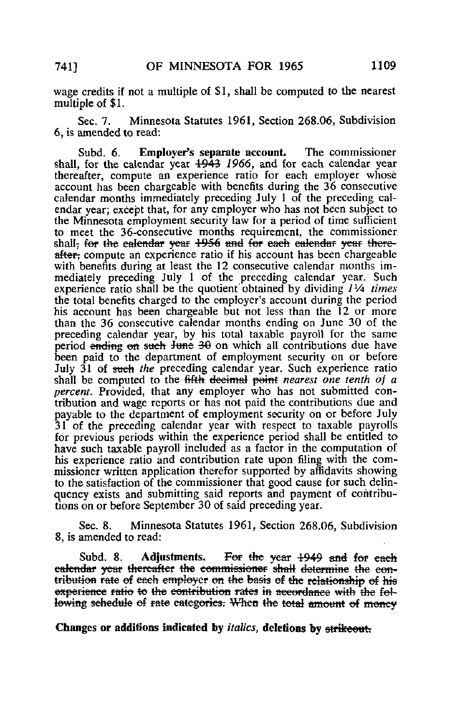wage credits if not a multiple of \$1, shall be computed to the nearest multiple of \$1.

Sec. 7. Minnesota Statutes 1961, Section 268.06, Subdivision 6, is amended to read:

Subd. 6. Employer's separate account. The commissioner shall, for the calendar year 1943 1966, and for each calendar year thereafter, compute an experience ratio for each employer whose account has been chargeable with benefits during the 36 consecutive calendar months immediately preceding July 1 of the preceding calendar year; except that, for any employer who has not been subject to the Minnesota employment security law for a period of time sufficient to meet the 36-consecutive months requirement, the commissioner shall, for the calendar year 1956 and for each calendar year- thereafter, compute an experience ratio if his account has been chargeable with benefits during at least the 12 consecutive calendar months immediately preceding July 1 of the preceding calendar year. Such experience ratio shall be the quotient obtained by dividing  $1\frac{1}{4}$  times the total benefits charged to the employer's account during the period his account has been chargeable but not less than the 12 or more than the 36 consecutive calendar months ending on June 30 of the preceding calendar year, by his total taxable payroll for the same period ending on such June  $30$  on which all contributions due have been paid to the department of employment security on or before July 31 of such the preceding calendar year. Such experience ratio shall be computed to the fifth decimal point nearest one tenth of a percent. Provided, that any employer who has not submitted contribution and wage reports or has not paid the contributions due and payable to the department of employment security on or before July 31 of the preceding calendar year with respect to taxable payrolls for previous periods within the experience period shall be entitled to have such taxable payroll included as a factor in the computation of his experience ratio and contribution rate upon filing with the commissioner written application therefor supported by affidavits showing to the satisfaction of the commissioner that good cause for such delinquency exists and submitting said reports and payment of contributions on or before September 30 of said preceding year.

Sec. 8. Minnesota Statutes 1961, Section 268.06, Subdivision 8, is amended to read:

Subd. 8. Adjustments. For the year 1949 and for each calendar year thereafter the commissioner shall determine the contribution rate of each employer on the basis of the relationship of his experience ratio to the contribution rates in accordance with the following schedule of rate categories. When the total amount of money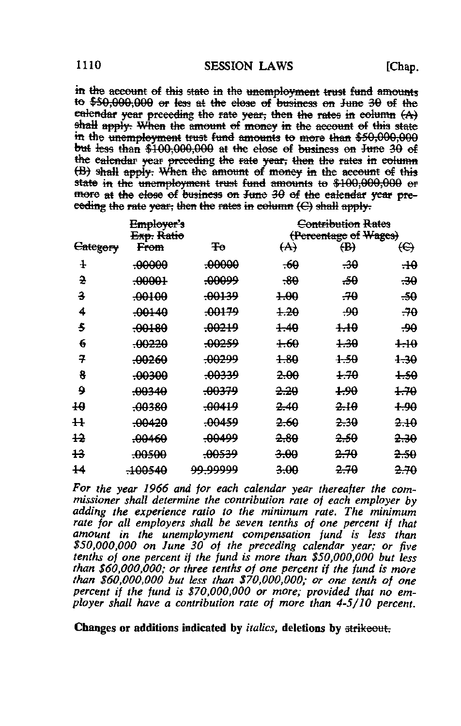in the account of this state in the unemployment trust fund amounts to  $$50,000,000$  or less at the elose of business on June  $30$  of the calendar year preceding the rate year, then the rates in column  $(A)$ shall apply. When the amount of money in the account of this state in the unemployment trust fund amounts to more than \$50,000,000 but less than  $$100,000,000$  at the elese of business on June 30 of the calendar year preceding the rate year, then the rates in column (B) shall apply: When the amount of money in the account of this state in the unemployment trust fund amounts to \$100,000,000 or more at the close of business on June 30 of the calendar year preceding the rate year; then the rates in column  $(C)$  shall apply.

|          | <del>Employer's</del><br><del>Exp.</del> Ratio |                    |                   | Contribution Rates<br>(Percentage of Wages) |                 |  |
|----------|------------------------------------------------|--------------------|-------------------|---------------------------------------------|-----------------|--|
| Category | <del>From</del>                                | Ŧо                 | $\leftrightarrow$ | $\oplus$                                    | €               |  |
| ł        | <del>.00000</del>                              | <del>.00000.</del> | $-60$             | -30                                         | $\pm \theta$    |  |
| 윤        | $-00001$                                       | <del>.00099</del>  | $-30$             | -50                                         | ههيو            |  |
| з        | <del>.00100</del>                              | <del>.00139</del>  | $+00$             | -70                                         | -50             |  |
| 4        | -00140                                         | -00179             | <del>1.20</del>   | -90                                         | -70             |  |
| s        | <del>.00180</del>                              | <del>.00219</del>  | $+40$             | $+40$                                       | -90             |  |
| 6        | -00220                                         | <del>-00259</del>  | <del>1.60</del>   | <del>1.30</del>                             | $+10$           |  |
| 7        | <del>-00260</del>                              | <del>.00299</del>  | <del>1.80</del>   | 1.50                                        | <del>1.30</del> |  |
| 8        | -00300                                         | -00339             | 2.00              | 1.70                                        | 1.50            |  |
| 9        | <del>.00340</del>                              | <del>.00379</del>  | 2.20              | 4.90                                        | <del>1.70</del> |  |
| 40       | -00380                                         | -00419             | <del>2.40</del>   | <del>2.10</del>                             | 1.90            |  |
| ₩        | <del>-00420</del>                              | <del>.00459</del>  | <del>2.60</del>   | <del>2.30</del>                             | <del>2.IO</del> |  |
| 12       | .00460                                         | <del>.00499</del>  | <del>2.80</del>   | <del>2.50</del>                             | <del>2.30</del> |  |
| ₽        | -00500                                         | <del>-00539</del>  | <del>3.00</del>   | <del>2.70</del>                             | <del>2.50</del> |  |
| 14       | <del>.100540</del>                             | ووووبوو            | <del>3.00</del>   | <del>2.70</del>                             | 2.70            |  |

For the year 1966 and for each calendar year thereafter the commissioner shall determine the contribution rate of each employer by adding the experience ratio to the minimum rate. The minimum rate for all employers shall be seven tenths of one percent if that amount in the unemployment compensation fund is less than \$50,000,000 on June 30 of the preceding calendar year; or five tenths oj one percent if the fund is more than \$50,000,000 but less than \$60,000,000; or three tenths of one percent if the fund is more than \$60,000,000 but less than \$70,000,000; or one tenth of one percent if the fund is \$70,000,000 or more; provided that no employer shall have a contribution rate oj more than 4-5/10 percent.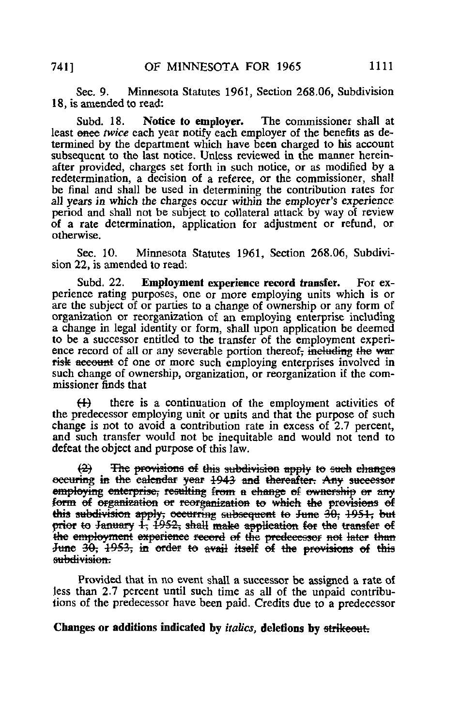Sec. 9. Minnesota Statutes 1961, Section 268,06, Subdivision 18, is amended to read:

Subd. 18. Notice to employer. The commissioner shall at least onee twice each year notify each employer of the benefits as determined by the department which have been charged to his account subsequent to the last notice. Unless reviewed in the manner hereinafter provided, charges set forth in such notice, or as modified by a redetermination, a decision of a referee, or the commissioner, shall be final and shall be used in determining the contribution rates for all years in which the charges occur within the employer's experience period and shall not be subject to collateral attack by way of review of a rate determination, application for adjustment or refund, or otherwise.

Sec. 10. Minnesota Statutes 1961, Section 268.06, Subdivision 22, is amended to read:

Subd. 22. Employment experience record transfer. For experience rating purposes, one or more employing units which is or are the subject of or parties to a change of ownership or any form of organization or reorganization of an employing enterprise including a change in legal identity or form, shall upon application be deemed to be a successor entitled to the transfer of the employment experience record of all or any severable portion thereof, including the war risk account of one or more such employing enterprises involved in such change of ownership, organization, or reorganization if the commissioner finds that

 $(H)$  there is a continuation of the employment activities of the predecessor employing unit or units and that the purpose of such change is not to avoid a contribution rate in excess of 2.7 percent, and such transfer would not be inequitable and would not tend to defeat the object and purpose of this law.

(3) The provisions of this subdivision apply to saeh changes occuring in the calendar year 1943 and thereafter. Any successor employing enterprise, resulting from a change of ownership or any form of organization or reorganization to which the provisions of this subdivision apply, occurring subsequent to June 30, 1951, but prior to January  $\frac{1}{2}$ ,  $\frac{1952}{2}$ , shall make application for the transfer of the employment experience record of the predecessor not later than June 30; 1953, in order to avail itself of the provisions of this subdivision.

Provided that in no event shall a successor be assigned a rate of less than 2.7 percent until such time as all of the unpaid contributions of the predecessor have been paid. Credits due to a predecessor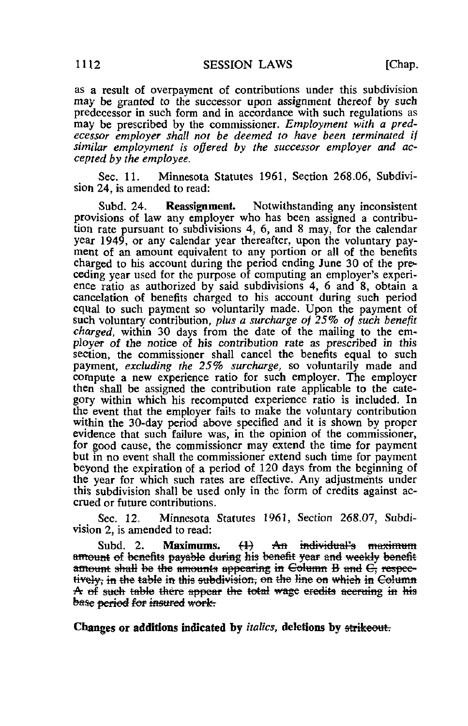as a result of overpayment of contributions under this subdivision may be granted to the successor upon assignment thereof by such predecessor in such form and in accordance with such regulations as may be prescribed by the commissioner. Employment with a predecessor employer shall not be deemed to have been terminated if similar employment is offered by the successor employer and accepted by the employee,

Sec. 11. Minnesota Statutes 1961, Section 268.06, Subdivision 24, is amended to read:

Subd. 24. Reassignment. Notwithstanding any inconsistent provisions of law any employer who has been assigned a contribution rate pursuant to subdivisions 4, 6, and 8 may, for the calendar year 1949, or any calendar year thereafter, upon the voluntary payment of an amount equivalent to any portion or all of the benefits charged to his account during the period ending June 30 of the preceding year used for the purpose of computing an employer's experience ratio as authorized by said subdivisions 4, 6 and 8, obtain a cancelation of benefits charged to his account during such period equal to such payment so voluntarily made. Upon the payment of such voluntary contribution, plus a surcharge of 25% of such benefit charged, within 30 days from the date of the mailing to the employer of the notice of his contribution rate as prescribed in this section, the commissioner shall cancel the benefits equal to such payment, excluding the 25% surcharge, so voluntarily made and compute a new experience ratio for such employer. The employer then shall be assigned the contribution rate applicable to the category within which his recomputed experience ratio is included. In the event that the employer fails to make the voluntary contribution within the 30-day period above specified and it is shown by proper evidence that such failure was, in the opinion of the commissioner, for good cause, the commissioner may extend the time for payment but in no event shall the commissioner extend such time for payment beyond the expiration of a period of 1 20 days from the beginning of the year for which such rates are effective. Any adjustments under this subdivision shall be used only in the form of credits against accrued or future contributions.

Sec. 12. Minnesota Statutes 1961, Section 268.07, Subdivision 2, is amended to read:

Subd. 2. Maximums.  $(1)$  An individual's maximum amount of benefits payable during his benefit year and weekly benefit amount shall be the amounts appearing in Column B and C, respectively, in the table in this subdivision, on the line on which in Column A of such table there appear the total wage eredits aceruing in his base period for insured work.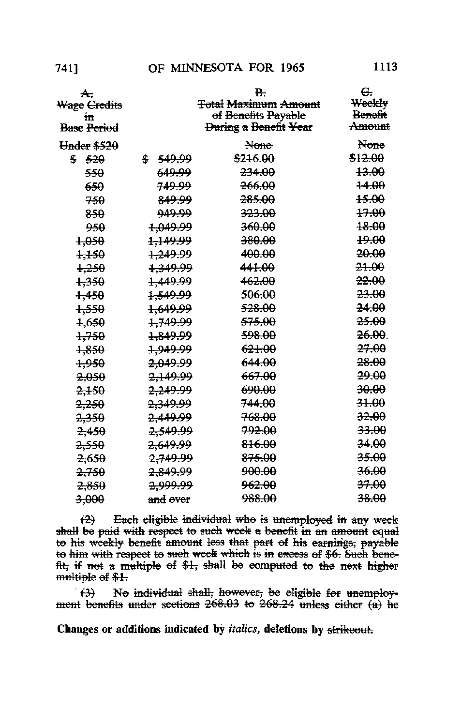| <del>A.</del><br>Wage <del>Credits</del><br>Ħ<br><b>Base Period</b> |                                | в.<br><b>Total Maximum Amount</b><br><del>of Benefits Payable</del><br><del>During</del> a Benefit Year | G.<br><del>Weekly</del><br><del>Benefit</del><br><del>Amount</del> |
|---------------------------------------------------------------------|--------------------------------|---------------------------------------------------------------------------------------------------------|--------------------------------------------------------------------|
|                                                                     |                                |                                                                                                         |                                                                    |
| <del>Under \$520</del>                                              |                                | None                                                                                                    | None                                                               |
| \$520                                                               | 549.99<br>÷                    | <del>\$216.00</del>                                                                                     | \$12.00                                                            |
| <del>550</del>                                                      | 649.99                         | <del>234.00</del>                                                                                       | <del>13.00</del>                                                   |
| 650                                                                 | <del>749.99</del>              | <del>266.00</del>                                                                                       | <del>14.00</del>                                                   |
| 750                                                                 | 849.99                         | <del>285.00</del>                                                                                       | <del>15.00</del>                                                   |
| 850                                                                 | ووبوءو                         | <del>323.00</del>                                                                                       | <del>17.00</del>                                                   |
| 950                                                                 | <del>1,049.99</del>            | <del>360.00</del>                                                                                       | <del>18.00</del>                                                   |
| <del>1.050</del>                                                    | <del>1.149.99</del>            | <del>380.00</del>                                                                                       | 49.00                                                              |
| <del>1.150</del>                                                    | <del>1.249.99</del>            | <del>400.00</del>                                                                                       | <del>20.00</del>                                                   |
| <del>1.250</del>                                                    | <del>1.349.99</del>            | 441.00                                                                                                  | <del>21.00</del>                                                   |
| <del>1,350</del>                                                    | <del>1.449.99</del>            | <del>462.00</del>                                                                                       | <del>22.00</del>                                                   |
| <del>1.450</del>                                                    | <del>1.549.99</del>            | <del>506.00</del>                                                                                       | <del>23.00</del>                                                   |
| <del>1,550</del>                                                    | <del>1,649.99</del>            | <del>528.00</del>                                                                                       | <del>24.00</del>                                                   |
| <del>1.650</del>                                                    | <del>1.749.99</del>            | <del>575.00</del>                                                                                       | <del>25.00</del>                                                   |
| <del>1,750</del>                                                    | <del>1.849.99</del>            | <del>598.00</del>                                                                                       | <del>26.00</del>                                                   |
| <del>1,850</del>                                                    | <del>1.949.99</del>            | <del>621.00</del>                                                                                       | 27.00                                                              |
| <del>1,950</del>                                                    | <del>2.049.99</del>            | <del>644.00</del>                                                                                       | <del>28.00</del>                                                   |
| <del>2.050</del>                                                    | <del>2.149.99</del>            | <del>667.00</del>                                                                                       | 29-00                                                              |
| <del>2.150</del>                                                    | <del>2,249.99</del>            | <del>690.00</del>                                                                                       | 30.00                                                              |
| <del>2.250</del>                                                    | <del>2.349.99</del>            | <del>744.00</del>                                                                                       | 31.00                                                              |
| <del>2,350</del>                                                    | <del>2.449.99</del>            | <del>768.00</del>                                                                                       | <del>32.00</del>                                                   |
| <del>2.450</del>                                                    | <del>2,549.99</del>            | <del>792.00</del>                                                                                       | 33.00                                                              |
| <del>2.550</del>                                                    | <del>2.649.99</del>            | <del>816.00</del>                                                                                       | <del>34.00</del>                                                   |
| <del>2.650</del>                                                    | 2.749.99                       | <del>875.00</del>                                                                                       | <del>35.00</del>                                                   |
| <del>2.750</del>                                                    | <del>2,849.99</del>            | <del>900.00</del>                                                                                       | <del>36.00</del>                                                   |
| <del>2.850</del>                                                    | <del>2.999.99</del>            | <del>962.00</del>                                                                                       | <del>37.00</del>                                                   |
| <del>3.000</del>                                                    | <del>and</del> <del>over</del> | <del>988.00</del>                                                                                       | <del>38.00</del>                                                   |

 $(2)$  Each eligible individual who is unemployed in any week shall be paid with respect to such week a benefit in an amount equal to his weekly benefit amount less that part of his earnings, payable<br>to him with respect to such week which is in excess of \$6. Such benefit, if not a multiple of \$1, shall be computed to the next higher multiple of \$1.

No individual shall, however, be eligible for  $(3)$ '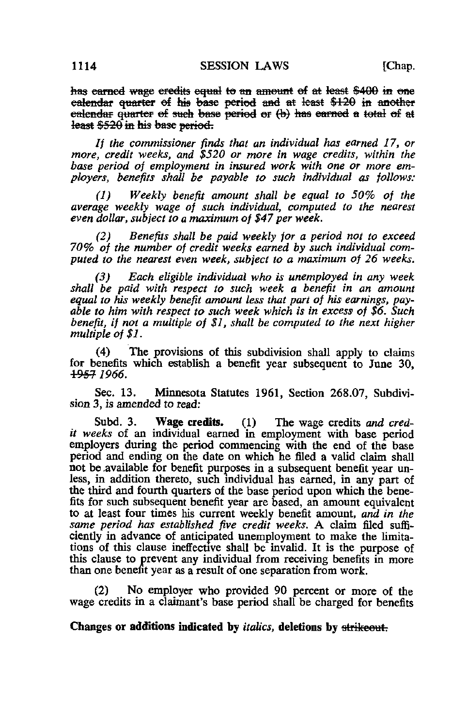has carned wage credits equal to an amount of at least \$400 in one calendar quarter of his base period and at least  $$120$  in another calcudar quarter of such base period or  $\Theta$ ) has carned a total of at least \$520 in his base period.

If the commissioner finds that an individual has earned 17, or more, credit weeks, and \$520 or more in wage credits, within the base period of employment in insured work with one or more employers, benefits shall be payable to such individual as follows:

(1) Weekly benefit amount shall be equal to 50% of the average weekly wage of such individual, computed to the nearest even dollar, subject to a maximum of \$47 per week.

(2) Benefits shall be paid weekly for a period not to exceed 70% of the number of credit weeks earned by such individual computed to the nearest even week, subject to a maximum of 26 weeks.

(3) Each eligible individual who is unemployed in any week shall be paid with respect to such week a benefit in an amount equal to his weekly benefit amount less that part of his earnings, payable to him with respect to such week which is in excess of \$6. Such benefit, if not a multiple of \$1, shall be computed to the next higher multiple of \$1.

(4) The provisions of this subdivision shall apply to claims for benefits which establish a benefit year subsequent to June 30. 1957 1966.

Sec. 13. Minnesota Statutes 1961, Section 268.07, Subdivision 3, is amended to read:

Subd. 3. Wage credits. (1) The wage credits and credit weeks of an individual earned in employment with base period employers during the period commencing with the end of the base period and ending on the date on which he filed a valid claim shall not be .available for benefit purposes in a subsequent benefit year unless, in addition thereto, such individual has earned, in any part of the third and fourth quarters of the base period upon which the benefits for such subsequent benefit year are based, an amount equivalent to at least four times his current weekly benefit amount, and in the same period has established five credit weeks. A claim filed sufficiently in advance of anticipated unemployment to make the limitations of this clause ineffective shall be invalid. It is the purpose of this clause to prevent any individual from receiving benefits in more than one benefit year as a result of one separation from work.

(2) No employer who provided 90 percent or more of the wage credits in a claimant's base period shall be charged for benefits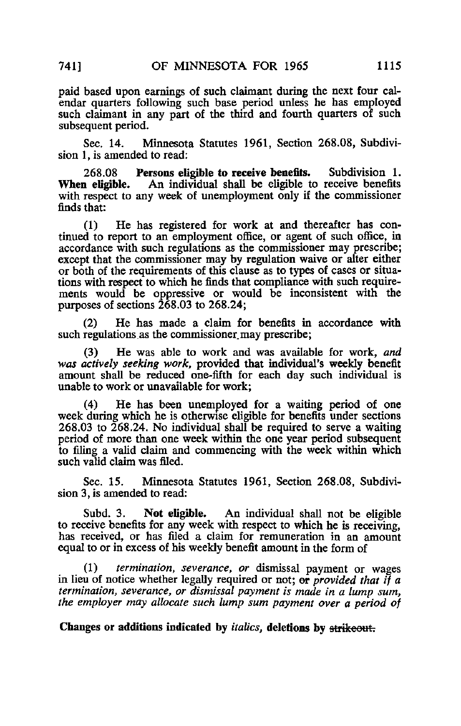paid based upon earnings of such claimant during the next four calendar quarters following such base period unless he has employed such claimant in any part of the third and fourth quarters of such subsequent period.

Sec. 14. Minnesota Statutes 1961, Section 268.08, Subdivision 1, is amended to read:

268.08 Persons eligible to receive benefits. Subdivision 1.<br>When eligible. An individual shall be eligible to receive benefits An individual shall be eligible to receive benefits with respect to any week of unemployment only if the commissioner finds that:

(1) He has registered for work at and thereafter has continued to report to an employment office, or agent of such office, in accordance with such regulations as the commissioner may prescribe; except that the commissioner may by regulation waive or alter either or both of the requirements of this clause as to types of cases or situations with respect to which he finds that compliance with such requirements would be oppressive or would be inconsistent with the purposes of sections 268.03 to 268.24;

(2) He has made a claim for benefits in accordance with such regulations as the commissioner may prescribe;

(3) He was able to work and was available for work, and was actively seeking work, provided that individual's weekly benefit amount shall be reduced one-fifth for each day such individual is unable to work or unavailable for work;

(4) He has been unemployed for a waiting period of one week during which he is otherwise eligible for benefits under sections 268.03 to 268.24. No individual shall be required to serve a waiting period of more than one week within the one year period subsequent to filing a valid claim and commencing with the week within which such valid claim was filed.

Sec. 15. Minnesota Statutes 1961, Section 268.08, Subdivision 3, is amended to read:

Subd. 3. Not eligible. An individual shall not be eligible to receive benefits for any week with respect to which he is receiving, has received, or has filed a claim for remuneration in an amount equal to or in excess of his weekly benefit amount in the form of

(1) termination, severance, or dismissal payment or wages in lieu of notice whether legally required or not;  $er$  provided that if a termination, severance, or dismissal payment is made in a lump sum, the employer may allocate such lump sum payment over a period of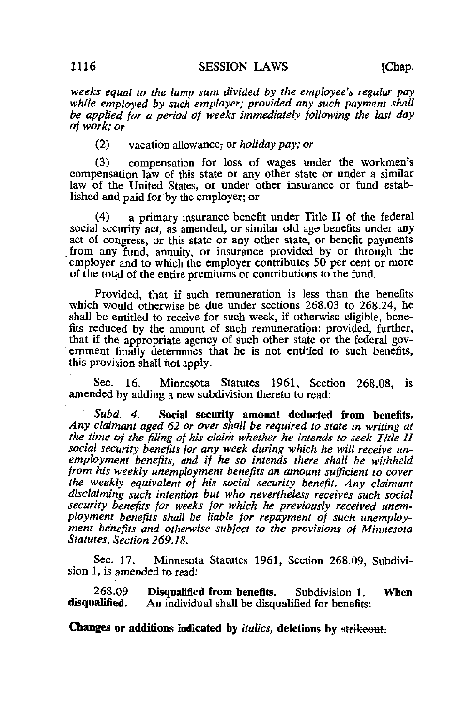•weeks equal to the lump sum divided by the employee's regular pay while employed by such employer; provided any such payment shall be applied for a period of weeks immediately following the last day of work; or

(2) vacation allowance, or *holiday pay*; or

(3) compensation for loss of wages under the workmen's compensation law of this state or any other state or under a similar law of the United States, or under other insurance or fund established and paid for by the employer; or

(4) a primary insurance benefit under Title II of the federal social security act, as amended, or similar old age benefits under any act of congress, or this state or any other state, or benefit payments from any fund, annuity, or insurance provided by or through the employer and to which the employer contributes 50 per cent or more of the total of the entire premiums or contributions to the fund.

Provided, that if such remuneration is less than the benefits which would otherwise be due under sections 268.03 to 268.24, he shall be entitled to receive for such week, if otherwise eligible, benefits reduced by the amount of such remuneration; provided, further, that if the appropriate agency of such other state or the federal gov ernment finally determines that he is not entitled to such benefits, this provision shall hot apply.

Sec. 16. Minnesota Statutes 1961, Section 268.08, is amended by adding a new subdivision thereto to read:

Subd. 4. Social security amount deducted from benefits. Any claimant aged 62 or over shall be required to state in writing at the time of the filing of his claim whether he intends to seek Title II social security benefits for any week during which he will receive unemployment benefits, and if he so intends there shall be withheld from his weekly unemployment benefits an amount sufficient to cover the weekly equivalent of his social security benefit. Any claimant disclaiming such intention but who nevertheless receives such social security benefits for weeks for which he previously received unemployment benefits shall be liable for repayment of such unemployment benefits and otherwise subject to the provisions of Minnesota Statutes, Section 269.18.

Sec. 17. Minnesota Statutes 1961, Section 268.09, Subdivision 1, is amended to read:

268.09 **Disqualified from benefits.** Subdivision 1. **When disqualified.** An individual shall be disqualified for benefits: An individual shall be disqualified for benefits: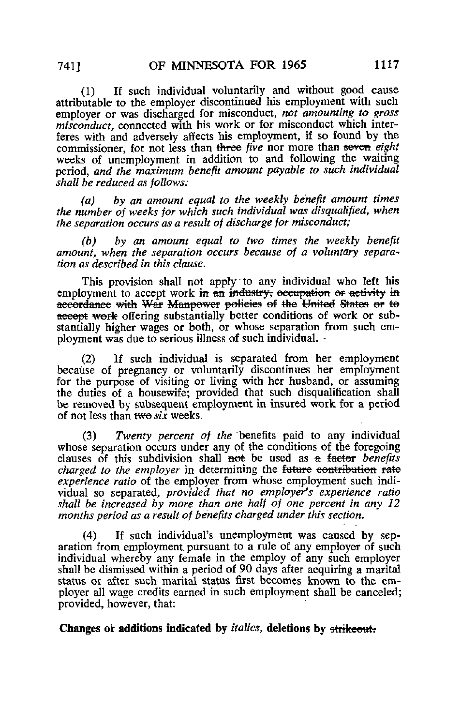(1) If such individual voluntarily and without good cause attributable to the employer discontinued his employment with such employer or was discharged for misconduct, not amounting to gross misconduct, connected with his work or for misconduct which interferes with and adversely affects his employment, if so found by the commissioner, for not less than three five nor more than seven eight weeks of unemployment in addition to and following the waiting period, and the maximum benefit amount payable to such individual shall be reduced as follows:

(a) by an amount equal to the weekly benefit amount times the number of weeks for which such individual was disqualified, when the separation occurs as a result of discharge for misconduct;

(b) by an amount equal to two times the weekly benefit amount, when the separation occurs because of a voluntary separation as described in this clause.

This provision shall not apply to any individual who left his employment to accept work in an industry, occupation or activity in accordance with War Manpower policies of the United States or to accept work offering substantially better conditions of work or substantially higher wages or both, or whose separation from such employment was due to serious illness of such individual. -

(2) If such individual is separated from her employment because of pregnancy or voluntarily discontinues her employment for the purpose of visiting or living with her husband, or assuming the duties of a housewife; provided that such disqualification shall be removed by subsequent employment in insured work for a period of not less than two six weeks.

(3) Twenty percent of the benefits paid to any individual whose separation occurs under any of the conditions of the foregoing clauses of this subdivision shall not be used as  $a$  factor *benefits* charged to the employer in determining the future contribution rate experience ratio of the employer from whose employment such individual so separated, provided that no employer's experience ratio shall be increased by more than one half of one percent in any 12 months period as a result of benefits charged under this section.

(4) If such individual's unemployment was caused by separation from employment pursuant to a rule of any employer of such individual whereby any female in the employ of any such employer shall be dismissed within a period of 90 days after acquiring a marital status or after such marital status first becomes known to the employer all wage credits earned in such employment shall be canceled; provided, however, that: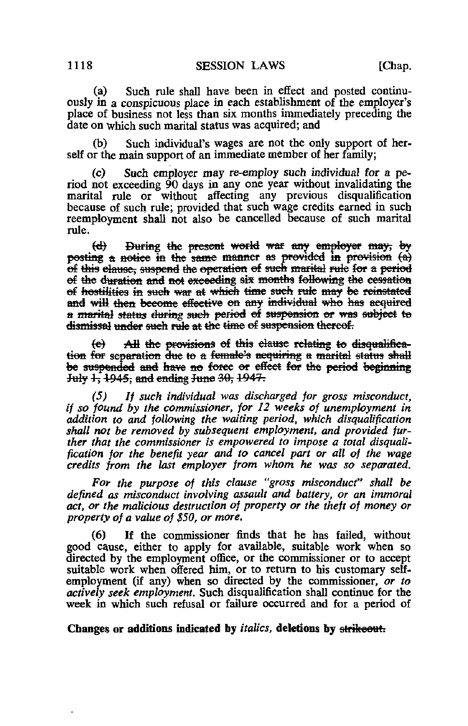(a) Such rule shall have been in effect and posted continuously in a conspicuous place in each establishment of the employer's place of business not less than six months immediately preceding the date on which such marital status was acquired; and

(b) Such individual's wages are not the only support of herself or the main support of an immediate member of her family;

(c) Such employer may re-employ such individual for a period not exceeding 90 days in any one year without invalidating the marital rule or without affecting any previous disqualification because of such rule; provided that such wage credits earned in such reemployment shall not also be cancelled because of such marital rule.

(d) During the present world war any employer may, by posting a notice in the same manner as provided in provision  $(a)$ of this elause, suspend the operation of such marital rule for a period of the duration and not exceeding six months following the cessation of hostilities in such war at which time such rule may be reinstated and will then become effective on any individual who has acquired a marital status during such period of suspension or was subject to dismissal under such rule at the time of suspension thereof.

(e) All the provisions of this clause relating to disqualification for separation due to a female's acquiring a marital status shall be suspended and have no force or effect for the period beginning July  $1$ ,  $1945$ ; and ending June  $30$ ,  $1947$ .

(5) If such individual was discharged for gross misconduct, if so found by the commissioner, for 12 weeks of unemployment in addition to and following the waiting period, which disqualification shall not be removed by subsequent employment, and provided further that the commissioner is empowered to impose a total disqualification for the benefit year and to cancel part or all of the wage credits from the last employer from whom he was so separated.

Fot- the purpose of this clause "gross misconduct" shall be defined as misconduct involving assault and battery, or an immoral act, or the malicious destruction of property or the theft of money or property of a value of \$50, or more.

If the commissioner finds that he has failed, without good cause, either to apply for available, suitable work when so directed by the employment office, or the commissioner or to accept suitable work when offered him, or to return to his customary selfemployment (if any) when so directed by the commissioner, or to actively seek employment. Such disqualification shall continue for the week in which such refusal or failure occurred and for a period of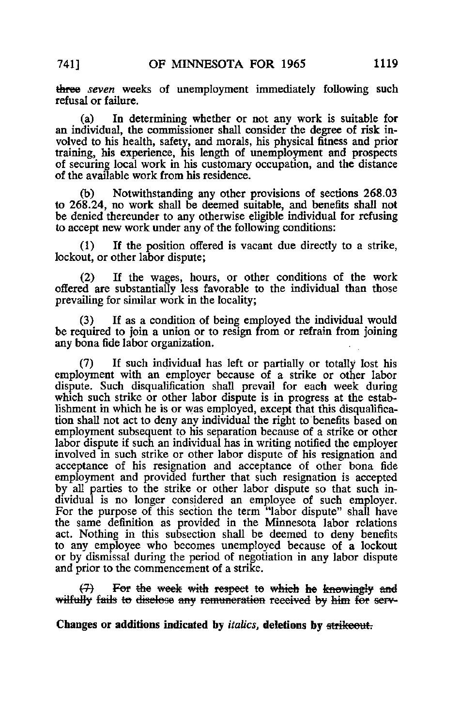three seven weeks of unemployment immediately following such refusal or failure.

(a) In determining whether or not any work is suitable for an individual, the commissioner shall consider the degree of risk involved to his health, safety, and morals, his physical fitness and prior training, his experience, his length of unemployment and prospects of securing local work in his customary occupation, and the distance of the available work from his residence.

Notwithstanding any other provisions of sections 268.03 to 268.24, no work shall be deemed suitable, and benefits shall not be denied thereunder to any otherwise eligible individual for refusing to accept new work under any of the following conditions:

(1) If the position offered is vacant due directly to a strike, lockout, or other labor dispute;

(2) If the wages, hours, or other conditions of the work offered are substantially less favorable to the individual than those prevailing for similar work in the locality;

(3) If as a condition of being employed the individual would be required to join a union or to resign from or refrain from joining any bona fide labor organization,

(7) If such individual has left or partially or totally lost his employment with an employer because of a strike or other labor dispute. Such disqualification shall prevail for each week during which such strike or other labor dispute is in progress at the establishment in which he is or was employed, except that this disqualification shall not act to deny any individual the right to benefits based on employment subsequent to his separation because of a strike or other labor dispute if such an individual has in writing notified the employer involved in such strike or other labor dispute of his resignation and acceptance of his resignation and acceptance of other bona fide employment and provided further that such resignation is accepted by all parties to the strike or other labor dispute so that such individual is no longer considered an employee of such employer. For the purpose of this section the term "labor dispute" shall have the same definition as provided in the Minnesota labor relations act. Nothing in this subsection shall be deemed to deny benefits to any employee who becomes unemployed because of a lockout or by dismissal during the period of negotiation in any labor dispute and prior to the commencement of a strike.

(7) For the week with respect to which he knowingly and wilfully fails to disclose any remuncration received by him for serv-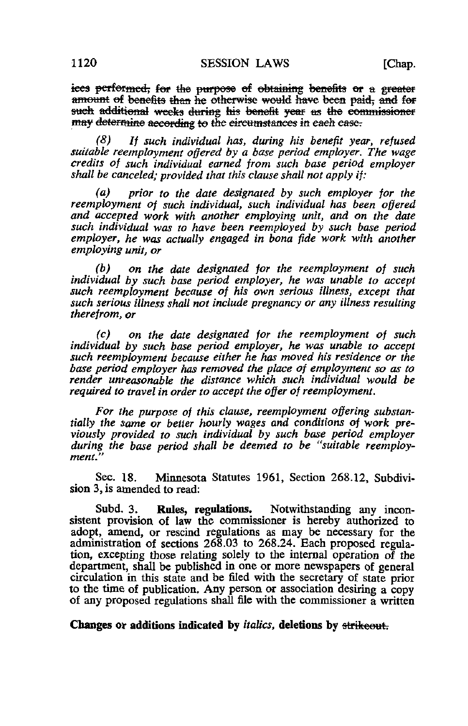ices performed, for the purpose of obtaining benefits or a greater amount of benefits than he otherwise would have been paid, and for such additional weeks during his benefit year as the commissioner may determine according to the circumstances in each case.

(8) If such individual has, during his benefit year, refused suitable reemployment offered by a base period employer. The wage credits of such individual earned from such base period employer shall be canceled; provided that this clause shall not apply if:

(a) prior to the date designated by such employer for the reemployment of such individual, such individual has been offered and accepted work with another employing unit, and on the date such individual was to have been reemployed by such base period employer, he was actually engaged in bona fide work with another employing unit, or

(b) on the date designated for the reemployment of such individual by such base period employer, he was unable to accept such reemployment because of his own serious illness, except that such serious illness shall not include pregnancy or any illness resulting therefrom, or

(c) on the date designated for the reemployment of such individual by such base period employer, he was unable to accept such reemployment because either he has moved his residence or the base period employer has removed the place of employment so as to render unreasonable the distance which such individual would be required to travel in order to accept the offer of reemployment.

For the purpose of this clause, reemployment offering substantially the same or better hourly wages and conditions of work previously provided to such individual by such base period employer during the base period shall be deemed to be "suitable reemployment."

Sec. 18. Minnesota Statutes 1961, Section 268.12, Subdivision 3, is amended to read:

Subd. 3. Rules, regulations. Notwithstanding any inconsistent provision of law the commissioner is hereby authorized to adopt, amend, or rescind regulations as may be necessary for the administration of sections 268.03 to 268.24. Each proposed regulation, excepting those relating solely to the internal operation of the department, shall be published in one or more newspapers of general circulation in this state and be filed with the secretary of state prior to the time of publication. Any person or association desiring a copy of any proposed regulations shall file with the commissioner a written